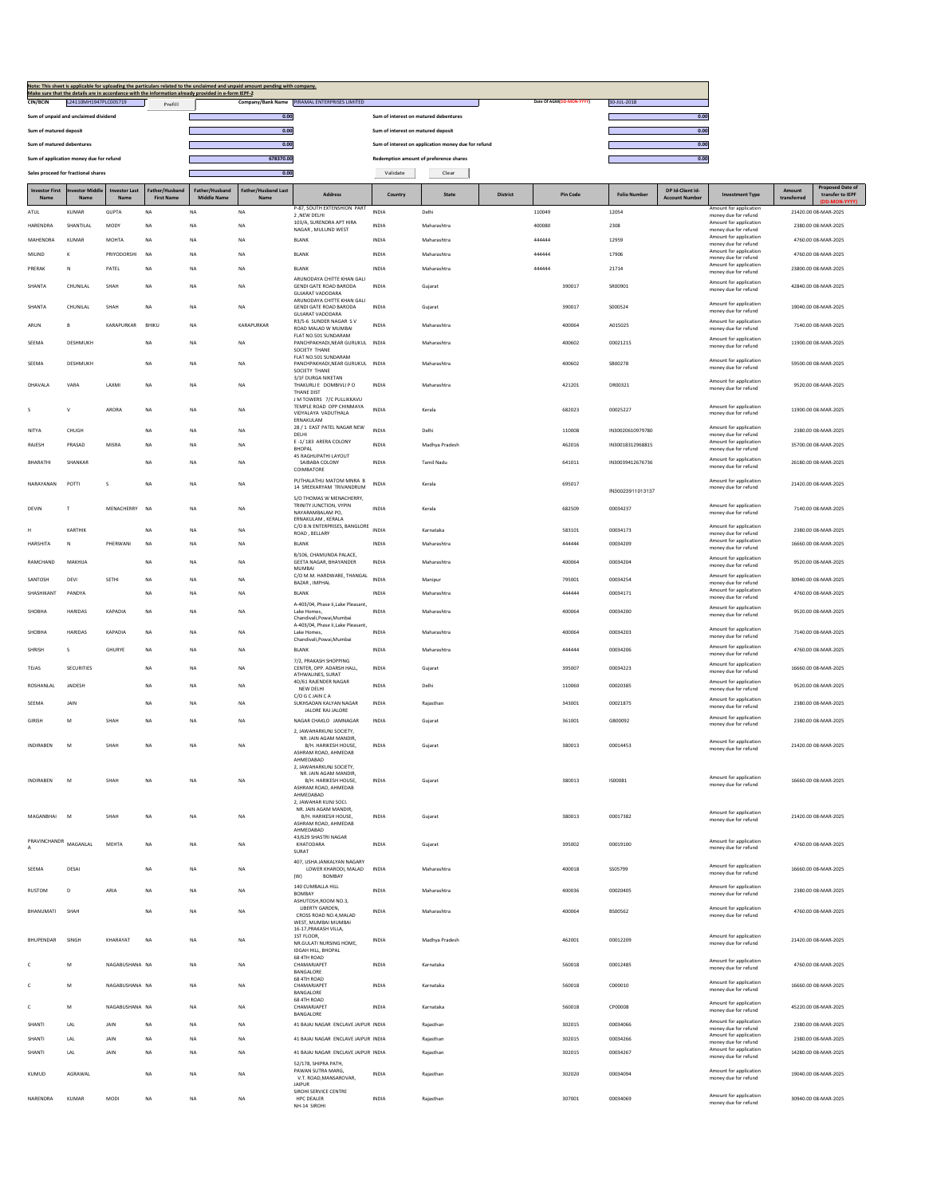| Note: This sheet is applicable for uploading the particulars related to the unclaimed and unpaid amount pending with company.<br>Make sure that the details are in accordance with the information already provided in e-form IEPF-2<br>Company/Bank Name PIRAMAL ENTERPRISES LIMITED<br>Date Of AGM(DD-MON-YYYY)<br>CIN/BCIN<br>L24110MH1947PLC005719 |                                         |                             |                                     |                            |                                   |                                                                                                               |                                        |                                                     |                 |        |                 |                                      |                                           |                                                                          |                                            |                                             |
|--------------------------------------------------------------------------------------------------------------------------------------------------------------------------------------------------------------------------------------------------------------------------------------------------------------------------------------------------------|-----------------------------------------|-----------------------------|-------------------------------------|----------------------------|-----------------------------------|---------------------------------------------------------------------------------------------------------------|----------------------------------------|-----------------------------------------------------|-----------------|--------|-----------------|--------------------------------------|-------------------------------------------|--------------------------------------------------------------------------|--------------------------------------------|---------------------------------------------|
|                                                                                                                                                                                                                                                                                                                                                        | Sum of unpaid and unclaimed dividend    |                             | Prefill                             |                            | 0.00                              |                                                                                                               | Sum of interest on matured debentures  |                                                     |                 |        |                 |                                      | 30-JUL-2018<br>0.00                       |                                                                          |                                            |                                             |
| Sum of matured deposit                                                                                                                                                                                                                                                                                                                                 |                                         |                             |                                     | 0.00                       |                                   |                                                                                                               | Sum of interest on matured deposit     |                                                     |                 |        |                 | 0.00                                 |                                           |                                                                          |                                            |                                             |
| Sum of matured debentures                                                                                                                                                                                                                                                                                                                              |                                         |                             |                                     |                            | 0.00                              |                                                                                                               |                                        | Sum of interest on application money due for refund |                 |        |                 | 0.00                                 |                                           |                                                                          |                                            |                                             |
|                                                                                                                                                                                                                                                                                                                                                        | Sum of application money due for refund |                             |                                     | 678370.00                  |                                   |                                                                                                               | Redemption amount of preference shares |                                                     |                 |        | 0.00            |                                      |                                           |                                                                          |                                            |                                             |
|                                                                                                                                                                                                                                                                                                                                                        | Sales proceed for fractional shares     |                             |                                     |                            | 0.00                              |                                                                                                               | Validate<br>Clear                      |                                                     |                 |        |                 |                                      |                                           |                                                                          |                                            |                                             |
| <b>Investor First</b><br>Nan                                                                                                                                                                                                                                                                                                                           | vestor Middl<br>Nam                     | <b>Investor Last</b><br>Nam | Father/Husband<br><b>First Name</b> | Father/Husband<br>dle Name | <b>Father/Husband Last</b><br>Nam | Address                                                                                                       | Country                                | State                                               | <b>District</b> |        | <b>Pin Code</b> | <b>Folio Numbe</b>                   | DP Id-Client Id-<br><b>Account Number</b> | <b>Investment Type</b>                                                   | transferred                                | <b>Proposed Date of</b><br>transfer to IEPF |
| <b>ATUL</b>                                                                                                                                                                                                                                                                                                                                            | <b>KUMAR</b>                            | <b>GUPTA</b>                | <b>NA</b>                           | <b>NA</b>                  | <b>NA</b>                         | P-87, SOUTH EXTENSHION PART<br>2, NEW DELHI                                                                   | <b>INDIA</b>                           | Delhi                                               |                 | 110049 |                 | 12054                                |                                           | Amount for application<br>money due for refund                           |                                            | 21420.00 08-MAR-2025                        |
| HARENDRA                                                                                                                                                                                                                                                                                                                                               | SHANTILAI                               | MODY                        | <b>NA</b>                           | NA                         | <b>NA</b>                         | 103/A, SURENDRA APT HIRA<br>NAGAR, MULUND WEST                                                                | <b>INDIA</b>                           | Maharashtra                                         |                 | 400080 |                 | 2308                                 |                                           | Amount for application<br>money due for refund                           | 2380.00 08-MAR-2025                        |                                             |
| MAHENDRA                                                                                                                                                                                                                                                                                                                                               | <b>KUMAR</b>                            | MOHTA                       | <b>NA</b>                           | NA                         | NA                                | BLANK                                                                                                         | INDIA                                  | Maharashtra                                         |                 | 444444 |                 | 12959                                |                                           | Amount for application<br>money due for refund<br>Amount for application | 4760.00 08-MAR-2025                        |                                             |
| MILIND                                                                                                                                                                                                                                                                                                                                                 | K                                       | PRIYODORSHI                 | <b>NA</b>                           | NA                         | NA                                | <b>BLANK</b>                                                                                                  | INDIA                                  | Maharashtra                                         |                 | 444444 |                 | 17906                                |                                           | money due for refund<br>Amount for application                           | 4760.00 08-MAR-2025                        |                                             |
| PRERAK                                                                                                                                                                                                                                                                                                                                                 | Ν                                       | PATEL                       | NA                                  | NA                         | NA                                | BLANK<br>ARUNODAYA CHITTE KHAN GALI                                                                           | INDIA                                  | Maharashtra                                         |                 | 444444 |                 | 21714                                |                                           | money due for refund                                                     | 23800.00 08-MAR-2025                       |                                             |
| SHANTA                                                                                                                                                                                                                                                                                                                                                 | CHUNILAL                                | SHAH                        | NA                                  | NA                         | NA                                | <b>GENDI GATE ROAD BARODA</b><br><b>GUJARAT VADODARA</b><br>ARUNODAYA CHITTE KHAN GALI                        | INDIA                                  | Gujarat                                             |                 |        | 390017          | SR00901                              |                                           | Amount for application<br>money due for refund                           | 42840.00 08-MAR-2025                       |                                             |
| <b>SHANTA</b>                                                                                                                                                                                                                                                                                                                                          | CHUNILAL                                | SHAH                        | <b>NA</b>                           | <b>NA</b>                  | <b>NA</b>                         | <b>GENDI GATE ROAD BARODA</b><br><b>GUJARAT VADODARA</b>                                                      | <b>INDIA</b>                           | Gujarat                                             |                 |        | 390017          | S000524                              |                                           | Amount for application<br>money due for refund                           | 19040.00 08-MAR-2025                       |                                             |
| ARUN                                                                                                                                                                                                                                                                                                                                                   | B                                       | <b>KARAPURKAR</b>           | BHIKU                               | NA                         | KARAPURKAR                        | R3/5-6 SUNDER NAGAR SV<br>ROAD MALAD W MUMBAI                                                                 | INDIA                                  | Maharashtra                                         |                 |        | 400064          | A015025                              |                                           | Amount for application<br>money due for refund                           | 7140.00 08-MAR-2025                        |                                             |
| SEEMA                                                                                                                                                                                                                                                                                                                                                  | DESHMUKH                                |                             | <b>NA</b>                           | NA                         | NA                                | FLAT NO.501 SUNDARAM<br>PANCHPAKHADI, NEAR GURUKUL INDIA                                                      |                                        | Maharashtra                                         |                 |        | 400602          | 00021215                             |                                           | Amount for application<br>money due for refund                           | 11900.00 08-MAR-2025                       |                                             |
| <b>SEEMA</b>                                                                                                                                                                                                                                                                                                                                           | DESHMUKH                                |                             | <b>NA</b>                           | NA                         | <b>NA</b>                         | SOCIETY THANE<br>FLAT NO.501 SUNDARAM<br>PANCHPAKHADI.NEAR GURUKUL INDIA<br>SOCIETY THANE                     |                                        | Maharashtra                                         |                 |        | 400602          | SB00278                              |                                           | Amount for application<br>money due for refund                           | 59500.00 08-MAR-2025                       |                                             |
| DHAVALA                                                                                                                                                                                                                                                                                                                                                | VARA                                    | LAXMI                       | NA                                  | NA                         | NA                                | 3/1F DURGA NIKETAN<br>THAKURLI E DOMBIVLI P O                                                                 | INDIA                                  | Maharashtra                                         |                 |        | 421201          | DR00321                              |                                           | Amount for application<br>money due for refund                           | 9520.00 08-MAR-2025                        |                                             |
| s                                                                                                                                                                                                                                                                                                                                                      | v                                       | ARORA                       | NA                                  | NA                         | <b>NA</b>                         | THANE DIST<br>J M TOWERS 7/C PULLIKKAVU<br>TEMPLE ROAD OPP CHINMAYA<br>VIDYALAYA VADUTHALA                    | <b>INDIA</b>                           | Kerak                                               |                 |        | 682023          | 00025227                             |                                           | Amount for application<br>money due for refund                           | 11900.00 08-MAR-2025                       |                                             |
|                                                                                                                                                                                                                                                                                                                                                        |                                         |                             |                                     |                            |                                   | ERNAKULAM<br>28 / 1 EAST PATEL NAGAR NEW                                                                      |                                        |                                                     |                 |        |                 |                                      |                                           | Amount for application                                                   |                                            |                                             |
| NITYA                                                                                                                                                                                                                                                                                                                                                  | CHUGH                                   |                             | NA                                  | NA                         | NA                                | DELHI<br>E-1/183 ARERA COLONY                                                                                 | INDIA                                  | Delhi                                               |                 |        | 110008          | IN30020610979780<br>IN30018312968815 |                                           | money due for refund<br>Amount for application                           | 2380.00 08-MAR-2025                        |                                             |
| <b>RAJESH</b>                                                                                                                                                                                                                                                                                                                                          | PRASAD                                  | MISRA                       | <b>NA</b>                           | NA                         | NA                                | <b>BHOPAL</b><br>45 RAGHUPATHI LAYOUT                                                                         | <b>INDIA</b>                           | Madhya Pradesh                                      |                 |        | 462016          |                                      |                                           | money due for refund<br>Amount for application                           | 35700.00 08-MAR-2025                       |                                             |
| <b>BHARATHI</b>                                                                                                                                                                                                                                                                                                                                        | SHANKAR                                 |                             | NA                                  | NA                         | NA                                | SAIBABA COLONY<br>COIMBATORE<br>PUTHALATHU MATOM MNRA B                                                       | INDIA                                  | Tamil Nadu                                          |                 |        | 641011          | IN30039412676736                     |                                           | money due for refund<br>Amount for application                           | 26180.00 08-MAR-2025                       |                                             |
| NARAYANAN                                                                                                                                                                                                                                                                                                                                              | POTTI                                   | s                           | <b>NA</b>                           | <b>NA</b>                  | <b>NA</b>                         | 14 SREEKARYAM TRIVANDRUM<br>S/O THOMAS W MENACHERRY                                                           | <b>INDIA</b>                           | Kerala                                              |                 |        | 695017          | IN30023911013137                     |                                           | money due for refund                                                     | 21420.00 08-MAR-2025                       |                                             |
| <b>DEVIN</b>                                                                                                                                                                                                                                                                                                                                           | т                                       | MENACHERRY                  | <b>NA</b>                           | NA                         | <b>NA</b>                         | TRINITY JUNCTION, VYPIN<br>NAYARAMBALAM PO,<br>ERNAKULAM, KERALA                                              | <b>INDIA</b>                           | Kerala                                              |                 |        | 682509          | 00034237                             |                                           | Amount for application<br>money due for refund                           | 7140.00 08-MAR-2025                        |                                             |
|                                                                                                                                                                                                                                                                                                                                                        | KARTHIK                                 |                             | <b>NA</b>                           | NA                         | <b>NA</b>                         | C/O B.N ENTERPRISES, BANGLORE INDIA<br>ROAD, BELLARY                                                          |                                        | Karnataka                                           |                 |        | 583101          | 00034173                             |                                           | Amount for application<br>money due for refund                           | 2380.00 08-MAR-2025                        |                                             |
| HARSHITA                                                                                                                                                                                                                                                                                                                                               | N                                       | PHERWANI                    | <b>NA</b>                           | NA                         | NA                                | <b>BLANK</b>                                                                                                  | INDIA                                  | Maharashtra                                         |                 |        | 444444          | 00034209                             |                                           | Amount for application<br>money due for refund                           | 16660.00 08-MAR-2025                       |                                             |
| RAMCHAND                                                                                                                                                                                                                                                                                                                                               | MAKHIJA                                 |                             | <b>NA</b>                           | NA                         | NA                                | B/106, CHAMUNDA PALACE,<br><b>GEETA NAGAR, BHAYANDER</b><br>MUMBAI                                            | INDIA                                  | Maharashtra                                         |                 |        | 400064          | 00034204                             |                                           | Amount for application<br>money due for refund                           |                                            | 9520.00 08-MAR-2025                         |
| SANTOSH                                                                                                                                                                                                                                                                                                                                                | DEVI                                    | SETHI                       | NA                                  | <b>NA</b>                  | NA                                | C/O M.M. HARDWARE, THANGAL<br>BAZAR, IMPHAL                                                                   | <b>INDIA</b>                           | Manipur                                             |                 |        | 795001          | 00034254                             |                                           | Amount for application<br>money due for refund                           |                                            | 30940.00 08-MAR-2025                        |
| SHASHIKANT                                                                                                                                                                                                                                                                                                                                             | PANDYA                                  |                             | <b>NA</b>                           | NA                         | NA                                | BLANK                                                                                                         | INDIA                                  | Maharashtra                                         |                 |        | 444444          | 00034171                             |                                           | Amount for application<br>money due for refund                           |                                            | 4760.00 08-MAR-2025                         |
| SHOBHA                                                                                                                                                                                                                                                                                                                                                 | <b>HARIDAS</b>                          | KAPADIA                     | NA                                  | NA                         | NA                                | A-403/04, Phase Ii, Lake Pleasant<br>Lake Homes,                                                              | <b>INDIA</b>                           | Maharashtra                                         |                 |        | 400064          | 00034200                             |                                           | Amount for application<br>money due for refund                           |                                            | 9520.00 08-MAR-2025                         |
| SHOBHA                                                                                                                                                                                                                                                                                                                                                 | <b>HARIDAS</b>                          | KAPADIA                     | <b>NA</b>                           | NA                         | NA                                | Chandivali, Powai, Mumbai<br>A-403/04, Phase Ii, Lake Pleasant,<br>Lake Homes,                                | INDIA                                  | Maharashtra                                         |                 |        | 400064          | 00034203                             |                                           | Amount for application<br>money due for refund                           | 7140.00 08-MAR-2025                        |                                             |
| SHRISH                                                                                                                                                                                                                                                                                                                                                 | s                                       | <b>GHURYE</b>               | NA                                  | NA                         | NA                                | Chandivali, Powai, Mumbai<br><b>BLANK</b>                                                                     | <b>INDIA</b>                           | Maharashtra                                         |                 |        | 444444          | 00034206                             |                                           | Amount for application<br>money due for refund                           | 4760.00 08-MAR-2025                        |                                             |
| <b>TEJAS</b>                                                                                                                                                                                                                                                                                                                                           | <b>SECURITIES</b>                       |                             | NA                                  | NA                         | <b>NA</b>                         | 7/2. PRAKASH SHOPPING<br>CENTER, OPP. ADARSH HALL,                                                            | <b>INDIA</b>                           | Gujarat                                             |                 |        | 395007          | 00034223                             |                                           | Amount for application                                                   | 16660.00 08-MAR-2025                       |                                             |
|                                                                                                                                                                                                                                                                                                                                                        |                                         |                             |                                     |                            |                                   | ATHWALINES, SURAT<br>4D/61 RAJENDER NAGAR                                                                     |                                        |                                                     |                 |        |                 |                                      |                                           | money due for refund<br>Amount for application                           |                                            |                                             |
| ROSHANLAL                                                                                                                                                                                                                                                                                                                                              | JAIDESH                                 |                             | <b>NA</b>                           | <b>NA</b>                  | <b>NA</b>                         | NEW DELHI<br>C/O G C JAIN C A                                                                                 | <b>INDIA</b>                           | Delhi                                               |                 |        | 110060          | 00020385                             |                                           | money due for refund                                                     | 9520.00 08-MAR-2025                        |                                             |
| SEEMA                                                                                                                                                                                                                                                                                                                                                  | <b>JAIN</b>                             |                             | NA                                  | NA                         | NA                                | SUKHSADAN KALYAN NAGAR<br>JALORE RAJ JALORE                                                                   | INDIA                                  | Rajasthan                                           |                 |        | 343001          | 00021875                             |                                           | Amount for application<br>money due for refund                           | 2380.00 08-MAR-2025                        |                                             |
| GIRISH                                                                                                                                                                                                                                                                                                                                                 | M                                       | SHAH                        | NA                                  | NA                         | NA                                | NAGAR CHAKLO JAMNAGAR                                                                                         | INDIA                                  | Gujarat                                             |                 |        | 361001          | GB00092                              |                                           | Amount for application<br>money due for refund                           | 2380.00 08-MAR-2025                        |                                             |
| INDIRABEN                                                                                                                                                                                                                                                                                                                                              | M                                       | SHAH                        | NA                                  | <b>NA</b>                  | NA                                | 2, JAWAHARKUNJ SOCIETY,<br>NR. JAIN AGAM MANDIR,<br>B/H. HARIKESH HOUSE,<br>ASHRAM ROAD, AHMEDAB<br>AHMEDABAD | INDIA                                  | Gujarat                                             |                 |        | 380013          | 00014453                             |                                           | Amount for application<br>money due for refund                           | 21420.00 08-MAR-2025                       |                                             |
|                                                                                                                                                                                                                                                                                                                                                        |                                         |                             |                                     |                            |                                   | 2, JAWAHARKUNJ SOCIETY,<br>NR. JAIN AGAM MANDIR.                                                              |                                        |                                                     |                 |        |                 |                                      |                                           |                                                                          |                                            |                                             |
| <b>INDIRABEN</b>                                                                                                                                                                                                                                                                                                                                       | M                                       | SHAH                        | <b>NA</b>                           | NA                         | NA                                | B/H. HARIKESH HOUSE.<br>ASHRAM ROAD, AHMEDAB<br>AHMEDABAD                                                     | <b>INDIA</b>                           | Gujarat                                             |                 |        | 380013          | <b>ISO0081</b>                       |                                           | Amount for application<br>money due for refund                           |                                            | 16660.00 08-MAR-2025                        |
|                                                                                                                                                                                                                                                                                                                                                        |                                         |                             |                                     |                            |                                   | 2, JAWAHAR KUNJ SOCI.<br>NR. JAIN AGAM MANDIR,                                                                |                                        |                                                     |                 |        |                 |                                      |                                           | Amount for application                                                   |                                            |                                             |
| MAGANBHAI                                                                                                                                                                                                                                                                                                                                              | M                                       | SHAH                        | NA                                  | NA                         | NA                                | B/H. HARIKESH HOUSE,<br>ASHRAM ROAD, AHMEDAB<br>AHMFDARAD                                                     | INDIA                                  | Gujarat                                             |                 |        | 380013          | 00017382                             |                                           | money due for refund                                                     |                                            | 21420.00 08-MAR-2025                        |
| PRAVINCHANDR<br>А                                                                                                                                                                                                                                                                                                                                      | MAGANLAL                                | <b>MEHTA</b>                | NA                                  | NA                         | NA                                | 43/629 SHASTRI NAGAR<br>KHATODARA<br>SURAT                                                                    | <b>INDIA</b>                           | Gujarat                                             |                 |        | 395002          | 00019100                             |                                           | Amount for application<br>money due for refund                           |                                            | 4760.00 08-MAR-2025                         |
| <b>SEEMA</b>                                                                                                                                                                                                                                                                                                                                           | DESAI                                   |                             | NA                                  | <b>NA</b>                  | NA                                | 407, USHA JANKALYAN NAGARY<br>LOWER KHARODI, MALAD<br>BOMBAY<br>(W)                                           | <b>INDIA</b>                           | Maharashtra                                         |                 |        | 400018          | SS05799                              |                                           | Amount for application<br>money due for refund                           |                                            | 16660.00 08-MAR-2025                        |
| <b>RUSTOM</b>                                                                                                                                                                                                                                                                                                                                          | D                                       | ARIA                        | NA                                  | <b>NA</b>                  | NA                                | 140 CUMBALLA HILL<br><b>BOMBAY</b>                                                                            | INDIA                                  | Maharashtra                                         |                 |        | 400036          | 00020405                             |                                           | Amount for application<br>money due for refund                           |                                            | 2380.00 08-MAR-2025                         |
| BHANUMATI                                                                                                                                                                                                                                                                                                                                              | SHAH                                    |                             | NA                                  | NA                         | NA                                | ASHUTOSH, ROOM NO.3,<br>LIBERTY GARDEN,<br>CROSS ROAD NO.4, MALAD<br>WEST, MUMBAI MUMBAI                      | INDIA                                  | Maharashtra                                         |                 |        | 400064          | BS00562                              |                                           | Amount for application<br>money due for refund                           |                                            | 4760.00 08-MAR-2025                         |
| <b>BHUPENDAR</b>                                                                                                                                                                                                                                                                                                                                       | SINGH                                   | KHARAYAT                    | NA                                  | NA                         | NA                                | 16-17, PRAKASH VILLA,<br>1ST FLOOR,<br>NR.GULATI NURSING HOME,                                                | <b>INDIA</b>                           | Madhya Pradesh                                      |                 |        | 462001          | 00012209                             |                                           | Amount for application<br>money due for refund                           |                                            | 21420.00.08-MAR-2025                        |
| c                                                                                                                                                                                                                                                                                                                                                      | M                                       | NAGABUSHANA NA              |                                     | NA                         | NA                                | <b>IDGAH HILL, BHOPAL</b><br>68 4TH ROAD<br>CHAMARJAPET<br>BANGALORE                                          | <b>INDIA</b>                           | Karnataka                                           |                 |        | 560018          | 00012485                             |                                           | Amount for application<br>money due for refund                           |                                            | 4760.00 08-MAR-2025                         |
|                                                                                                                                                                                                                                                                                                                                                        | M                                       | NAGABUSHANA NA              |                                     | NA                         | NA                                | 68 4TH ROAD<br>CHAMARJAPET<br>BANGALORE                                                                       | INDIA                                  | Karnataka                                           |                 |        | 560018          | C000010                              |                                           | Amount for application<br>money due for refund                           | 16660.00 08-MAR-2025                       |                                             |
| c                                                                                                                                                                                                                                                                                                                                                      | M                                       | NAGABUSHANA NA              |                                     | <b>NA</b>                  | NA                                | 68 4TH ROAD<br>CHAMARJAPET                                                                                    | <b>INDIA</b>                           | Karnataka                                           |                 |        | 560018          | CP00008                              |                                           | Amount for application                                                   |                                            | 45220.00 08-MAR-2025                        |
| SHANTI                                                                                                                                                                                                                                                                                                                                                 |                                         |                             |                                     |                            | NA                                | BANGALORE<br>41 BAJAJ NAGAR ENCLAVE JAIPUR INDIA                                                              |                                        | Rajasthan                                           |                 |        | 302015          | 00034066                             |                                           | money due for refund<br>Amount for application                           |                                            |                                             |
| SHANTI                                                                                                                                                                                                                                                                                                                                                 | LAL<br>LAL                              | JAIN<br><b>JAIN</b>         | NA<br>NA                            | NA<br>NA                   | <b>NA</b>                         | 41 BAJAJ NAGAR ENCLAVE JAIPUR INDIA                                                                           |                                        | Rajasthan                                           |                 |        | 302015          | 00034266                             |                                           | money due for refund<br>Amount for application                           | 2380.00 08-MAR-2025<br>2380.00 08-MAR-2025 |                                             |
| SHANTI                                                                                                                                                                                                                                                                                                                                                 | LAL                                     | JAIN                        | NA                                  | NA                         | NA                                | 41 BAJAJ NAGAR ENCLAVE JAIPUR INDIA                                                                           |                                        | Rajasthan                                           |                 |        | 302015          | 00034267                             |                                           | money due for refund<br>Amount for application                           | 14280.00 08-MAR-2025                       |                                             |
| KUMUD                                                                                                                                                                                                                                                                                                                                                  | <b>AGRAWAL</b>                          |                             | NA                                  | NA                         | NA                                | 52/178, SHIPRA PATH.<br>PAWAN SUTRA MARG.                                                                     | INDIA                                  | Rajasthan                                           |                 |        | 302020          | 00034094                             |                                           | money due for refund<br>Amount for application                           | 19040.00 08-MAR-2025                       |                                             |
|                                                                                                                                                                                                                                                                                                                                                        |                                         |                             |                                     |                            |                                   | V.T. ROAD, MANSAROVAR,<br>JAIPUR<br>SIROHI SERVICE CENTRE                                                     |                                        |                                                     |                 |        |                 |                                      |                                           | money due for refund<br>Amount for application                           |                                            |                                             |
| NARENDRA                                                                                                                                                                                                                                                                                                                                               | KUMAR                                   | MODI                        | NA                                  | NA                         | NA                                | <b>HPC DEALER</b><br>NH-14 SIROHI                                                                             | INDIA                                  | Rajasthan                                           |                 |        | 307001          | 00034069                             |                                           | money due for refund                                                     |                                            | 30940.00 08-MAR-2025                        |